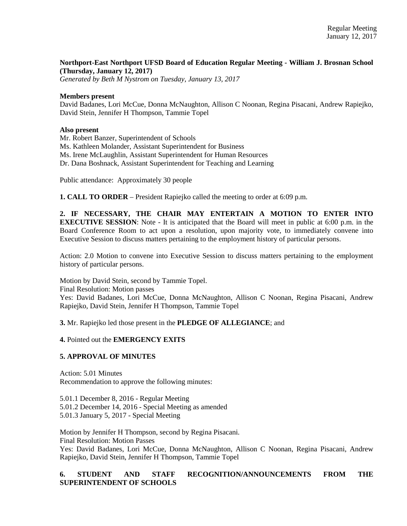**Northport-East Northport UFSD Board of Education Regular Meeting - William J. Brosnan School (Thursday, January 12, 2017)**

*Generated by Beth M Nystrom on Tuesday, January 13, 2017*

#### **Members present**

David Badanes, Lori McCue, Donna McNaughton, Allison C Noonan, Regina Pisacani, Andrew Rapiejko, David Stein, Jennifer H Thompson, Tammie Topel

#### **Also present**

Mr. Robert Banzer, Superintendent of Schools

Ms. Kathleen Molander, Assistant Superintendent for Business

Ms. Irene McLaughlin, Assistant Superintendent for Human Resources

Dr. Dana Boshnack, Assistant Superintendent for Teaching and Learning

Public attendance: Approximately 30 people

**1. CALL TO ORDER** – President Rapiejko called the meeting to order at 6:09 p.m.

**2. IF NECESSARY, THE CHAIR MAY ENTERTAIN A MOTION TO ENTER INTO EXECUTIVE SESSION**: Note - It is anticipated that the Board will meet in public at 6:00 p.m. in the Board Conference Room to act upon a resolution, upon majority vote, to immediately convene into Executive Session to discuss matters pertaining to the employment history of particular persons.

Action: 2.0 Motion to convene into Executive Session to discuss matters pertaining to the employment history of particular persons.

Motion by David Stein, second by Tammie Topel. Final Resolution: Motion passes Yes: David Badanes, Lori McCue, Donna McNaughton, Allison C Noonan, Regina Pisacani, Andrew Rapiejko, David Stein, Jennifer H Thompson, Tammie Topel

**3.** Mr. Rapiejko led those present in the **PLEDGE OF ALLEGIANCE**; and

**4.** Pointed out the **EMERGENCY EXITS** 

# **5. APPROVAL OF MINUTES**

Action: 5.01 Minutes Recommendation to approve the following minutes:

5.01.1 December 8, 2016 - Regular Meeting 5.01.2 December 14, 2016 - Special Meeting as amended 5.01.3 January 5, 2017 - Special Meeting

Motion by Jennifer H Thompson, second by Regina Pisacani. Final Resolution: Motion Passes Yes: David Badanes, Lori McCue, Donna McNaughton, Allison C Noonan, Regina Pisacani, Andrew Rapiejko, David Stein, Jennifer H Thompson, Tammie Topel

# **6. STUDENT AND STAFF RECOGNITION/ANNOUNCEMENTS FROM THE SUPERINTENDENT OF SCHOOLS**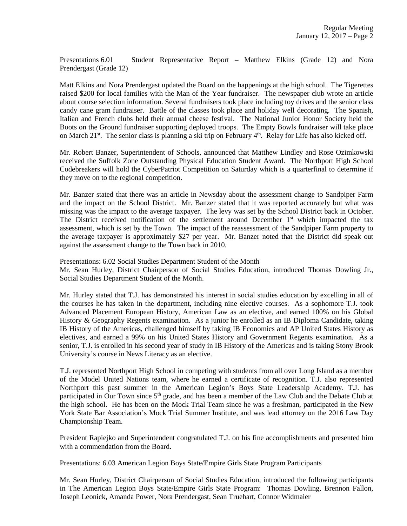Presentations 6.01 Student Representative Report – Matthew Elkins (Grade 12) and Nora Prendergast (Grade 12)

Matt Elkins and Nora Prendergast updated the Board on the happenings at the high school. The Tigerettes raised \$200 for local families with the Man of the Year fundraiser. The newspaper club wrote an article about course selection information. Several fundraisers took place including toy drives and the senior class candy cane gram fundraiser. Battle of the classes took place and holiday well decorating. The Spanish, Italian and French clubs held their annual cheese festival. The National Junior Honor Society held the Boots on the Ground fundraiser supporting deployed troops. The Empty Bowls fundraiser will take place on March 21<sup>st</sup>. The senior class is planning a ski trip on February  $4<sup>th</sup>$ . Relay for Life has also kicked off.

Mr. Robert Banzer, Superintendent of Schools, announced that Matthew Lindley and Rose Ozimkowski received the Suffolk Zone Outstanding Physical Education Student Award. The Northport High School Codebreakers will hold the CyberPatriot Competition on Saturday which is a quarterfinal to determine if they move on to the regional competition.

Mr. Banzer stated that there was an article in Newsday about the assessment change to Sandpiper Farm and the impact on the School District. Mr. Banzer stated that it was reported accurately but what was missing was the impact to the average taxpayer. The levy was set by the School District back in October. The District received notification of the settlement around December  $1<sup>st</sup>$  which impacted the tax assessment, which is set by the Town. The impact of the reassessment of the Sandpiper Farm property to the average taxpayer is approximately \$27 per year. Mr. Banzer noted that the District did speak out against the assessment change to the Town back in 2010.

Presentations: 6.02 Social Studies Department Student of the Month Mr. Sean Hurley, District Chairperson of Social Studies Education, introduced Thomas Dowling Jr., Social Studies Department Student of the Month.

Mr. Hurley stated that T.J. has demonstrated his interest in social studies education by excelling in all of the courses he has taken in the department, including nine elective courses. As a sophomore T.J. took Advanced Placement European History, American Law as an elective, and earned 100% on his Global History & Geography Regents examination. As a junior he enrolled as an IB Diploma Candidate, taking IB History of the Americas, challenged himself by taking IB Economics and AP United States History as electives, and earned a 99% on his United States History and Government Regents examination. As a senior, T.J. is enrolled in his second year of study in IB History of the Americas and is taking Stony Brook University's course in News Literacy as an elective.

T.J. represented Northport High School in competing with students from all over Long Island as a member of the Model United Nations team, where he earned a certificate of recognition. T.J. also represented Northport this past summer in the American Legion's Boys State Leadership Academy. T.J. has participated in Our Town since 5<sup>th</sup> grade, and has been a member of the Law Club and the Debate Club at the high school. He has been on the Mock Trial Team since he was a freshman, participated in the New York State Bar Association's Mock Trial Summer Institute, and was lead attorney on the 2016 Law Day Championship Team.

President Rapiejko and Superintendent congratulated T.J. on his fine accomplishments and presented him with a commendation from the Board.

Presentations: 6.03 American Legion Boys State/Empire Girls State Program Participants

Mr. Sean Hurley, District Chairperson of Social Studies Education, introduced the following participants in The American Legion Boys State/Empire Girls State Program: Thomas Dowling, Brennon Fallon, Joseph Leonick, Amanda Power, Nora Prendergast, Sean Truehart, Connor Widmaier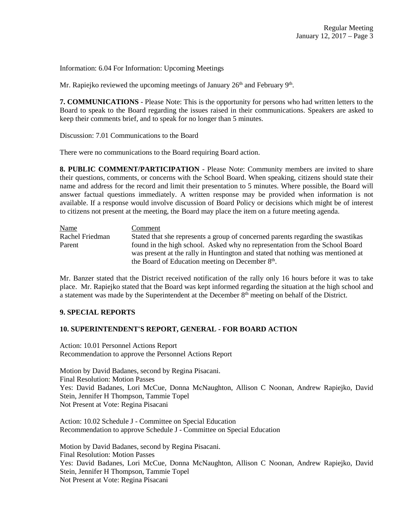Information: 6.04 For Information: Upcoming Meetings

Mr. Rapiejko reviewed the upcoming meetings of January  $26<sup>th</sup>$  and February  $9<sup>th</sup>$ .

**7. COMMUNICATIONS** - Please Note: This is the opportunity for persons who had written letters to the Board to speak to the Board regarding the issues raised in their communications. Speakers are asked to keep their comments brief, and to speak for no longer than 5 minutes.

Discussion: 7.01 Communications to the Board

There were no communications to the Board requiring Board action.

**8. PUBLIC COMMENT/PARTICIPATION** - Please Note: Community members are invited to share their questions, comments, or concerns with the School Board. When speaking, citizens should state their name and address for the record and limit their presentation to 5 minutes. Where possible, the Board will answer factual questions immediately. A written response may be provided when information is not available. If a response would involve discussion of Board Policy or decisions which might be of interest to citizens not present at the meeting, the Board may place the item on a future meeting agenda.

Name Comment Rachel Friedman Stated that she represents a group of concerned parents regarding the swastikas Parent found in the high school. Asked why no representation from the School Board was present at the rally in Huntington and stated that nothing was mentioned at the Board of Education meeting on December 8<sup>th</sup>.

Mr. Banzer stated that the District received notification of the rally only 16 hours before it was to take place. Mr. Rapiejko stated that the Board was kept informed regarding the situation at the high school and a statement was made by the Superintendent at the December 8<sup>th</sup> meeting on behalf of the District.

# **9. SPECIAL REPORTS**

# **10. SUPERINTENDENT'S REPORT, GENERAL - FOR BOARD ACTION**

Action: 10.01 Personnel Actions Report Recommendation to approve the Personnel Actions Report

Motion by David Badanes, second by Regina Pisacani. Final Resolution: Motion Passes Yes: David Badanes, Lori McCue, Donna McNaughton, Allison C Noonan, Andrew Rapiejko, David Stein, Jennifer H Thompson, Tammie Topel Not Present at Vote: Regina Pisacani

Action: 10.02 Schedule J - Committee on Special Education Recommendation to approve Schedule J - Committee on Special Education

Motion by David Badanes, second by Regina Pisacani. Final Resolution: Motion Passes Yes: David Badanes, Lori McCue, Donna McNaughton, Allison C Noonan, Andrew Rapiejko, David Stein, Jennifer H Thompson, Tammie Topel Not Present at Vote: Regina Pisacani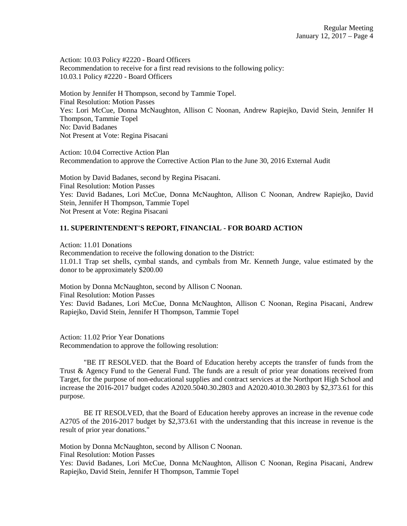Action: 10.03 Policy #2220 - Board Officers Recommendation to receive for a first read revisions to the following policy: 10.03.1 Policy #2220 - Board Officers

Motion by Jennifer H Thompson, second by Tammie Topel. Final Resolution: Motion Passes Yes: Lori McCue, Donna McNaughton, Allison C Noonan, Andrew Rapiejko, David Stein, Jennifer H Thompson, Tammie Topel No: David Badanes Not Present at Vote: Regina Pisacani

Action: 10.04 Corrective Action Plan Recommendation to approve the Corrective Action Plan to the June 30, 2016 External Audit

Motion by David Badanes, second by Regina Pisacani. Final Resolution: Motion Passes Yes: David Badanes, Lori McCue, Donna McNaughton, Allison C Noonan, Andrew Rapiejko, David Stein, Jennifer H Thompson, Tammie Topel Not Present at Vote: Regina Pisacani

# **11. SUPERINTENDENT'S REPORT, FINANCIAL - FOR BOARD ACTION**

Action: 11.01 Donations Recommendation to receive the following donation to the District: 11.01.1 Trap set shells, cymbal stands, and cymbals from Mr. Kenneth Junge, value estimated by the donor to be approximately \$200.00

Motion by Donna McNaughton, second by Allison C Noonan. Final Resolution: Motion Passes Yes: David Badanes, Lori McCue, Donna McNaughton, Allison C Noonan, Regina Pisacani, Andrew Rapiejko, David Stein, Jennifer H Thompson, Tammie Topel

Action: 11.02 Prior Year Donations Recommendation to approve the following resolution:

"BE IT RESOLVED. that the Board of Education hereby accepts the transfer of funds from the Trust & Agency Fund to the General Fund. The funds are a result of prior year donations received from Target, for the purpose of non-educational supplies and contract services at the Northport High School and increase the 2016-2017 budget codes A2020.5040.30.2803 and A2020.4010.30.2803 by \$2,373.61 for this purpose.

BE IT RESOLVED, that the Board of Education hereby approves an increase in the revenue code A2705 of the 2016-2017 budget by \$2,373.61 with the understanding that this increase in revenue is the result of prior year donations."

Motion by Donna McNaughton, second by Allison C Noonan.

Final Resolution: Motion Passes

Yes: David Badanes, Lori McCue, Donna McNaughton, Allison C Noonan, Regina Pisacani, Andrew Rapiejko, David Stein, Jennifer H Thompson, Tammie Topel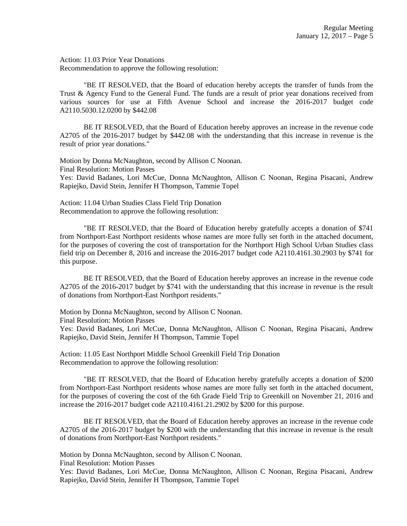Action: 11.03 Prior Year Donations Recommendation to approve the following resolution:

"BE IT RESOLVED, that the Board of education hereby accepts the transfer of funds from the Trust & Agency Fund to the General Fund. The funds are a result of prior year donations received from various sources for use at Fifth Avenue School and increase the 2016-2017 budget code A2110.5030.12.0200 by \$442.08

BE IT RESOLVED, that the Board of Education hereby approves an increase in the revenue code A2705 of the 2016-2017 budget by \$442.08 with the understanding that this increase in revenue is the result of prior year donations."

Motion by Donna McNaughton, second by Allison C Noonan. Final Resolution: Motion Passes Yes: David Badanes, Lori McCue, Donna McNaughton, Allison C Noonan, Regina Pisacani, Andrew Rapiejko, David Stein, Jennifer H Thompson, Tammie Topel

Action: 11.04 Urban Studies Class Field Trip Donation Recommendation to approve the following resolution:

"BE IT RESOLVED, that the Board of Education hereby gratefully accepts a donation of \$741 from Northport-East Northport residents whose names are more fully set forth in the attached document, for the purposes of covering the cost of transportation for the Northport High School Urban Studies class field trip on December 8, 2016 and increase the 2016-2017 budget code A2110.4161.30.2903 by \$741 for this purpose.

BE IT RESOLVED, that the Board of Education hereby approves an increase in the revenue code A2705 of the 2016-2017 budget by \$741 with the understanding that this increase in revenue is the result of donations from Northport-East Northport residents."

Motion by Donna McNaughton, second by Allison C Noonan.

Final Resolution: Motion Passes

Yes: David Badanes, Lori McCue, Donna McNaughton, Allison C Noonan, Regina Pisacani, Andrew Rapiejko, David Stein, Jennifer H Thompson, Tammie Topel

Action: 11.05 East Northport Middle School Greenkill Field Trip Donation Recommendation to approve the following resolution:

"BE IT RESOLVED, that the Board of Education hereby gratefully accepts a donation of \$200 from Northport-East Northport residents whose names are more fully set forth in the attached document, for the purposes of covering the cost of the 6th Grade Field Trip to Greenkill on November 21, 2016 and increase the 2016-2017 budget code A2110.4161.21.2902 by \$200 for this purpose.

BE IT RESOLVED, that the Board of Education hereby approves an increase in the revenue code A2705 of the 2016-2017 budget by \$200 with the understanding that this increase in revenue is the result of donations from Northport-East Northport residents."

Motion by Donna McNaughton, second by Allison C Noonan.

Final Resolution: Motion Passes

Yes: David Badanes, Lori McCue, Donna McNaughton, Allison C Noonan, Regina Pisacani, Andrew Rapiejko, David Stein, Jennifer H Thompson, Tammie Topel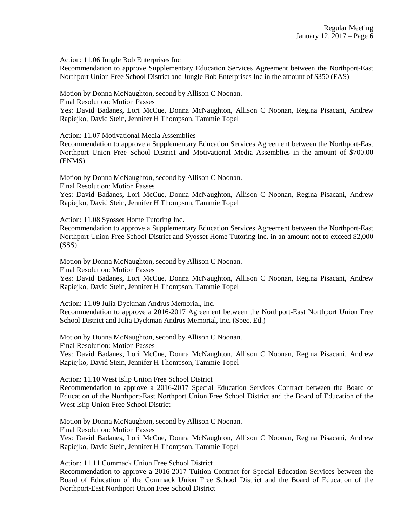Action: 11.06 Jungle Bob Enterprises Inc

Recommendation to approve Supplementary Education Services Agreement between the Northport-East Northport Union Free School District and Jungle Bob Enterprises Inc in the amount of \$350 (FAS)

Motion by Donna McNaughton, second by Allison C Noonan.

Final Resolution: Motion Passes

Yes: David Badanes, Lori McCue, Donna McNaughton, Allison C Noonan, Regina Pisacani, Andrew Rapiejko, David Stein, Jennifer H Thompson, Tammie Topel

Action: 11.07 Motivational Media Assemblies

Recommendation to approve a Supplementary Education Services Agreement between the Northport-East Northport Union Free School District and Motivational Media Assemblies in the amount of \$700.00 (ENMS)

Motion by Donna McNaughton, second by Allison C Noonan.

Final Resolution: Motion Passes

Yes: David Badanes, Lori McCue, Donna McNaughton, Allison C Noonan, Regina Pisacani, Andrew Rapiejko, David Stein, Jennifer H Thompson, Tammie Topel

Action: 11.08 Syosset Home Tutoring Inc.

Recommendation to approve a Supplementary Education Services Agreement between the Northport-East Northport Union Free School District and Syosset Home Tutoring Inc. in an amount not to exceed \$2,000 (SSS)

Motion by Donna McNaughton, second by Allison C Noonan. Final Resolution: Motion Passes

Yes: David Badanes, Lori McCue, Donna McNaughton, Allison C Noonan, Regina Pisacani, Andrew Rapiejko, David Stein, Jennifer H Thompson, Tammie Topel

Action: 11.09 Julia Dyckman Andrus Memorial, Inc.

Recommendation to approve a 2016-2017 Agreement between the Northport-East Northport Union Free School District and Julia Dyckman Andrus Memorial, Inc. (Spec. Ed.)

Motion by Donna McNaughton, second by Allison C Noonan. Final Resolution: Motion Passes Yes: David Badanes, Lori McCue, Donna McNaughton, Allison C Noonan, Regina Pisacani, Andrew Rapiejko, David Stein, Jennifer H Thompson, Tammie Topel

Action: 11.10 West Islip Union Free School District

Recommendation to approve a 2016-2017 Special Education Services Contract between the Board of Education of the Northport-East Northport Union Free School District and the Board of Education of the West Islip Union Free School District

Motion by Donna McNaughton, second by Allison C Noonan.

Final Resolution: Motion Passes

Yes: David Badanes, Lori McCue, Donna McNaughton, Allison C Noonan, Regina Pisacani, Andrew Rapiejko, David Stein, Jennifer H Thompson, Tammie Topel

Action: 11.11 Commack Union Free School District

Recommendation to approve a 2016-2017 Tuition Contract for Special Education Services between the Board of Education of the Commack Union Free School District and the Board of Education of the Northport-East Northport Union Free School District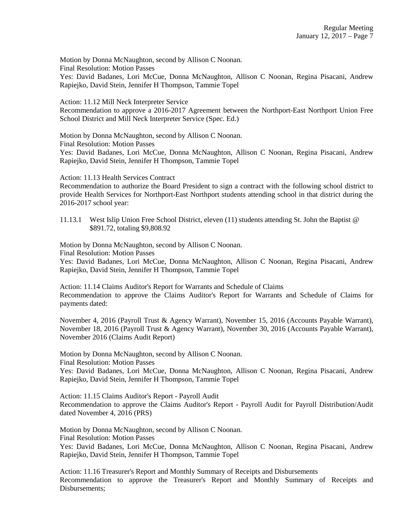Motion by Donna McNaughton, second by Allison C Noonan. Final Resolution: Motion Passes Yes: David Badanes, Lori McCue, Donna McNaughton, Allison C Noonan, Regina Pisacani, Andrew Rapiejko, David Stein, Jennifer H Thompson, Tammie Topel

Action: 11.12 Mill Neck Interpreter Service

Recommendation to approve a 2016-2017 Agreement between the Northport-East Northport Union Free School District and Mill Neck Interpreter Service (Spec. Ed.)

Motion by Donna McNaughton, second by Allison C Noonan.

Final Resolution: Motion Passes

Yes: David Badanes, Lori McCue, Donna McNaughton, Allison C Noonan, Regina Pisacani, Andrew Rapiejko, David Stein, Jennifer H Thompson, Tammie Topel

Action: 11.13 Health Services Contract

Recommendation to authorize the Board President to sign a contract with the following school district to provide Health Services for Northport-East Northport students attending school in that district during the 2016-2017 school year:

11.13.1 West Islip Union Free School District, eleven (11) students attending St. John the Baptist @ \$891.72, totaling \$9,808.92

Motion by Donna McNaughton, second by Allison C Noonan.

Final Resolution: Motion Passes

Yes: David Badanes, Lori McCue, Donna McNaughton, Allison C Noonan, Regina Pisacani, Andrew Rapiejko, David Stein, Jennifer H Thompson, Tammie Topel

Action: 11.14 Claims Auditor's Report for Warrants and Schedule of Claims Recommendation to approve the Claims Auditor's Report for Warrants and Schedule of Claims for payments dated:

November 4, 2016 (Payroll Trust & Agency Warrant), November 15, 2016 (Accounts Payable Warrant), November 18, 2016 (Payroll Trust & Agency Warrant), November 30, 2016 (Accounts Payable Warrant), November 2016 (Claims Audit Report)

Motion by Donna McNaughton, second by Allison C Noonan.

Final Resolution: Motion Passes

Yes: David Badanes, Lori McCue, Donna McNaughton, Allison C Noonan, Regina Pisacani, Andrew Rapiejko, David Stein, Jennifer H Thompson, Tammie Topel

Action: 11.15 Claims Auditor's Report - Payroll Audit Recommendation to approve the Claims Auditor's Report - Payroll Audit for Payroll Distribution/Audit dated November 4, 2016 (PRS)

Motion by Donna McNaughton, second by Allison C Noonan. Final Resolution: Motion Passes Yes: David Badanes, Lori McCue, Donna McNaughton, Allison C Noonan, Regina Pisacani, Andrew Rapiejko, David Stein, Jennifer H Thompson, Tammie Topel

Action: 11.16 Treasurer's Report and Monthly Summary of Receipts and Disbursements Recommendation to approve the Treasurer's Report and Monthly Summary of Receipts and Disbursements;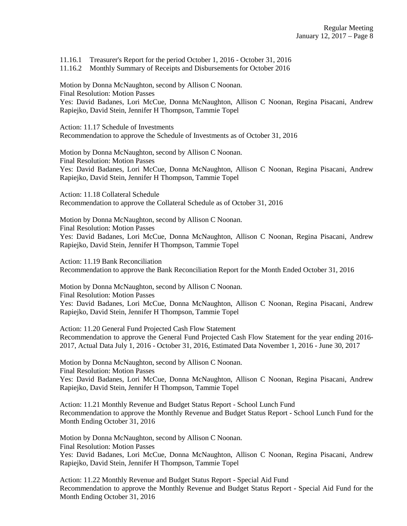11.16.1 Treasurer's Report for the period October 1, 2016 - October 31, 2016

11.16.2 Monthly Summary of Receipts and Disbursements for October 2016

Motion by Donna McNaughton, second by Allison C Noonan. Final Resolution: Motion Passes Yes: David Badanes, Lori McCue, Donna McNaughton, Allison C Noonan, Regina Pisacani, Andrew Rapiejko, David Stein, Jennifer H Thompson, Tammie Topel

Action: 11.17 Schedule of Investments Recommendation to approve the Schedule of Investments as of October 31, 2016

Motion by Donna McNaughton, second by Allison C Noonan. Final Resolution: Motion Passes Yes: David Badanes, Lori McCue, Donna McNaughton, Allison C Noonan, Regina Pisacani, Andrew Rapiejko, David Stein, Jennifer H Thompson, Tammie Topel

Action: 11.18 Collateral Schedule Recommendation to approve the Collateral Schedule as of October 31, 2016

Motion by Donna McNaughton, second by Allison C Noonan. Final Resolution: Motion Passes Yes: David Badanes, Lori McCue, Donna McNaughton, Allison C Noonan, Regina Pisacani, Andrew Rapiejko, David Stein, Jennifer H Thompson, Tammie Topel

Action: 11.19 Bank Reconciliation Recommendation to approve the Bank Reconciliation Report for the Month Ended October 31, 2016

Motion by Donna McNaughton, second by Allison C Noonan. Final Resolution: Motion Passes Yes: David Badanes, Lori McCue, Donna McNaughton, Allison C Noonan, Regina Pisacani, Andrew Rapiejko, David Stein, Jennifer H Thompson, Tammie Topel

Action: 11.20 General Fund Projected Cash Flow Statement Recommendation to approve the General Fund Projected Cash Flow Statement for the year ending 2016- 2017, Actual Data July 1, 2016 - October 31, 2016, Estimated Data November 1, 2016 - June 30, 2017

Motion by Donna McNaughton, second by Allison C Noonan. Final Resolution: Motion Passes

Yes: David Badanes, Lori McCue, Donna McNaughton, Allison C Noonan, Regina Pisacani, Andrew Rapiejko, David Stein, Jennifer H Thompson, Tammie Topel

Action: 11.21 Monthly Revenue and Budget Status Report - School Lunch Fund Recommendation to approve the Monthly Revenue and Budget Status Report - School Lunch Fund for the Month Ending October 31, 2016

Motion by Donna McNaughton, second by Allison C Noonan. Final Resolution: Motion Passes Yes: David Badanes, Lori McCue, Donna McNaughton, Allison C Noonan, Regina Pisacani, Andrew Rapiejko, David Stein, Jennifer H Thompson, Tammie Topel

Action: 11.22 Monthly Revenue and Budget Status Report - Special Aid Fund Recommendation to approve the Monthly Revenue and Budget Status Report - Special Aid Fund for the Month Ending October 31, 2016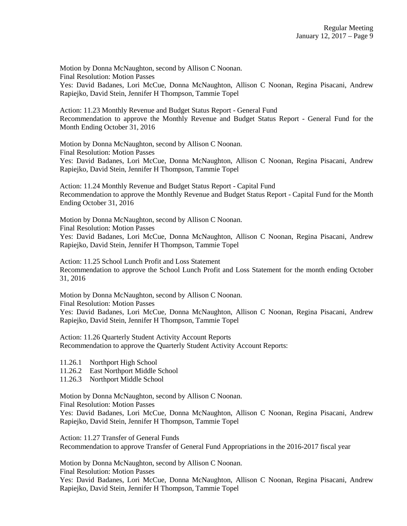Motion by Donna McNaughton, second by Allison C Noonan. Final Resolution: Motion Passes Yes: David Badanes, Lori McCue, Donna McNaughton, Allison C Noonan, Regina Pisacani, Andrew Rapiejko, David Stein, Jennifer H Thompson, Tammie Topel

Action: 11.23 Monthly Revenue and Budget Status Report - General Fund Recommendation to approve the Monthly Revenue and Budget Status Report - General Fund for the Month Ending October 31, 2016

Motion by Donna McNaughton, second by Allison C Noonan. Final Resolution: Motion Passes Yes: David Badanes, Lori McCue, Donna McNaughton, Allison C Noonan, Regina Pisacani, Andrew Rapiejko, David Stein, Jennifer H Thompson, Tammie Topel

Action: 11.24 Monthly Revenue and Budget Status Report - Capital Fund Recommendation to approve the Monthly Revenue and Budget Status Report - Capital Fund for the Month Ending October 31, 2016

Motion by Donna McNaughton, second by Allison C Noonan. Final Resolution: Motion Passes

Yes: David Badanes, Lori McCue, Donna McNaughton, Allison C Noonan, Regina Pisacani, Andrew Rapiejko, David Stein, Jennifer H Thompson, Tammie Topel

Action: 11.25 School Lunch Profit and Loss Statement Recommendation to approve the School Lunch Profit and Loss Statement for the month ending October 31, 2016

Motion by Donna McNaughton, second by Allison C Noonan. Final Resolution: Motion Passes

Yes: David Badanes, Lori McCue, Donna McNaughton, Allison C Noonan, Regina Pisacani, Andrew Rapiejko, David Stein, Jennifer H Thompson, Tammie Topel

Action: 11.26 Quarterly Student Activity Account Reports Recommendation to approve the Quarterly Student Activity Account Reports:

- 11.26.1 Northport High School
- 11.26.2 East Northport Middle School
- 11.26.3 Northport Middle School

Motion by Donna McNaughton, second by Allison C Noonan.

Final Resolution: Motion Passes

Yes: David Badanes, Lori McCue, Donna McNaughton, Allison C Noonan, Regina Pisacani, Andrew Rapiejko, David Stein, Jennifer H Thompson, Tammie Topel

Action: 11.27 Transfer of General Funds Recommendation to approve Transfer of General Fund Appropriations in the 2016-2017 fiscal year

Motion by Donna McNaughton, second by Allison C Noonan.

Final Resolution: Motion Passes

Yes: David Badanes, Lori McCue, Donna McNaughton, Allison C Noonan, Regina Pisacani, Andrew Rapiejko, David Stein, Jennifer H Thompson, Tammie Topel